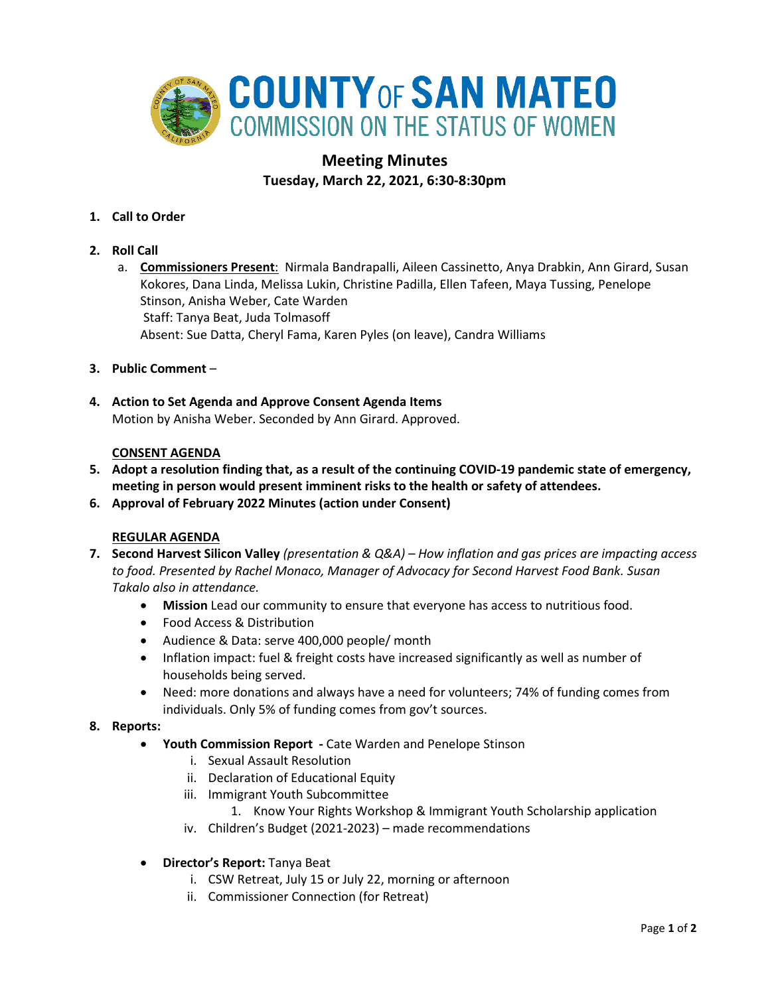

# **Meeting Minutes Tuesday, March 22, 2021, 6:30-8:30pm**

- **1. Call to Order**
- **2. Roll Call**
	- a. **Commissioners Present**: Nirmala Bandrapalli, Aileen Cassinetto, Anya Drabkin, Ann Girard, Susan Kokores, Dana Linda, Melissa Lukin, Christine Padilla, Ellen Tafeen, Maya Tussing, Penelope Stinson, Anisha Weber, Cate Warden Staff: Tanya Beat, Juda Tolmasoff Absent: Sue Datta, Cheryl Fama, Karen Pyles (on leave), Candra Williams
- **3. Public Comment** –
- **4. Action to Set Agenda and Approve Consent Agenda Items** Motion by Anisha Weber. Seconded by Ann Girard. Approved.

# **CONSENT AGENDA**

- **5. Adopt a resolution finding that, as a result of the continuing COVID-19 pandemic state of emergency, meeting in person would present imminent risks to the health or safety of attendees.**
- **6. Approval of February 2022 Minutes (action under Consent)**

# **REGULAR AGENDA**

- **7. Second Harvest Silicon Valley** *(presentation & Q&A) – How inflation and gas prices are impacting access to food. Presented by Rachel Monaco, Manager of Advocacy for Second Harvest Food Bank. Susan Takalo also in attendance.*
	- **Mission** Lead our community to ensure that everyone has access to nutritious food.
	- Food Access & Distribution
	- Audience & Data: serve 400,000 people/ month
	- Inflation impact: fuel & freight costs have increased significantly as well as number of households being served.
	- Need: more donations and always have a need for volunteers; 74% of funding comes from individuals. Only 5% of funding comes from gov't sources.

# **8. Reports:**

- **Youth Commission Report -** Cate Warden and Penelope Stinson
	- i. Sexual Assault Resolution
	- ii. Declaration of Educational Equity
	- iii. Immigrant Youth Subcommittee
		- 1. Know Your Rights Workshop & Immigrant Youth Scholarship application
	- iv. Children's Budget (2021-2023) made recommendations
- **Director's Report:** Tanya Beat
	- i. CSW Retreat, July 15 or July 22, morning or afternoon
	- ii. Commissioner Connection (for Retreat)